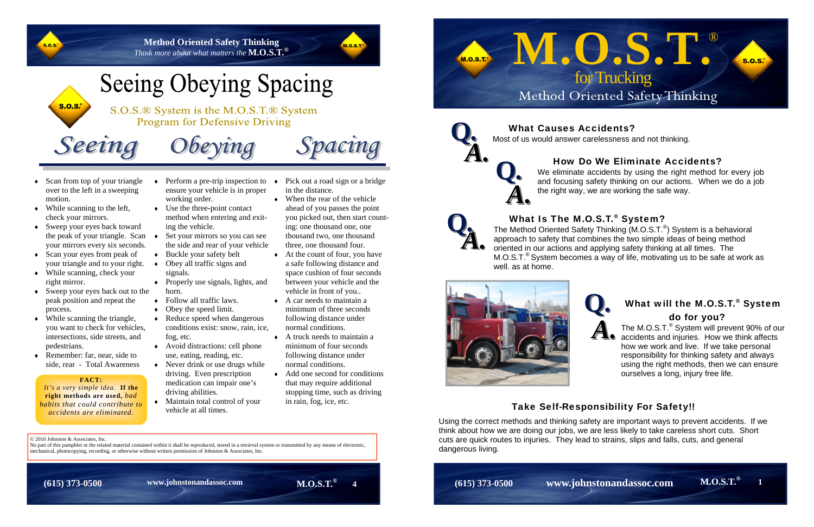© 2010 Johnston & Associates, Inc. No part of this pamphlet or the related material contained within it shall be reproduced, stored in a retrieval system or transmitted by any means of electronic, mechanical, photocopying, recording, or otherwise without written permission of Johnston & Associates, Inc.

• Scan from top of your triangle over to the left in a sweeping motion.

Seeing

**Method Oriented Safety Thinking** *Think more about what matters the* **M.O.S.T.®**



## **Seeing Obeying Spacing**

S.O.S.® System is the M.O.S.T.® System **Program for Defensive Driving** 

 $Obeving$ 

Spacing

 While scanning to the left, check your mirrors.

**S.O.S.** 

#### ٠ ensure your vehicle is in proper working order.

- Sweep your eyes back toward the peak of your triangle. Scan  $\bullet$ your mirrors every six seconds.
- Scan your eyes from peak of your triangle and to your right.
- While scanning, check your right mirror.
- Sweep your eyes back out to the peak position and repeat the process.
- While scanning the triangle, you want to check for vehicles, intersections, side streets, and pedestrians.
- Remember: far, near, side to side, rear - Total Awareness
- Perform a pre-trip inspection to  $\rightarrow$  Pick out a road sign or a bridge in the distance.
	- When the rear of the vehicle ahead of you passes the point you picked out, then start counting: one thousand one, one thousand two, one thousand three, one thousand four.
	- At the count of four, you have a safe following distance and space cushion of four seconds between your vehicle and the vehicle in front of you..
	- $\bullet$  A car needs to maintain a minimum of three seconds following distance under normal conditions.
	- $\bullet$  A truck needs to maintain a minimum of four seconds following distance under normal conditions.
	- Add one second for conditions that may require additional stopping time, such as driving in rain, fog, ice, etc.

**M.O.S.T.® (615) 373-0500 4 www.johnstonandassoc.com** 



### What Is The M.O.S.T.<sup>®</sup> System?

- Use the three-point contact method when entering and exiting the vehicle.
- Set your mirrors so you can see the side and rear of your vehicle
- ◆ Buckle your safety belt
- Obey all traffic signs and signals.
- Properly use signals, lights, and horn.
- Follow all traffic laws.
- Obey the speed limit.
- Reduce speed when dangerous conditions exist: snow, rain, ice, fog, etc.
- Avoid distractions: cell phone use, eating, reading, etc.
- Never drink or use drugs while driving. Even prescription medication can impair one's driving abilities.
- Maintain total control of your vehicle at all times.

## What will the M.O.S.T.<sup>®</sup> System do for you?

#### **FACT:**

*It's a very simple idea.* **If the right methods are used,** *bad habits that could contribute to accidents are eliminated.* 



The Method Oriented Safety Thinking (M.O.S.T.®) System is a behavioral approach to safety that combines the two simple ideas of being method oriented in our actions and applying safety thinking at all times. The  $M.O.S.T.^{\circledcirc}$  System becomes a way of life, motivating us to be safe at work as well. as at home.



# **Q***.*



The M.O.S.T.® System will prevent 90% of our accidents and injuries. How we think affects how we work and live. If we take personal responsibility for thinking safety and always using the right methods, then we can ensure ourselves a long, injury free life.

## Take Self-Responsibility For Safety!!

Using the correct methods and thinking safety are important ways to prevent accidents. If we think about how we are doing our jobs, we are less likely to take careless short cuts. Short cuts are quick routes to injuries. They lead to strains, slips and falls, cuts, and general dangerous living.

**M.O.S.T.® 1 (615) 373-0500 www.johnstonandassoc.com** 

We eliminate accidents by using the right method for every job and focusing safety thinking on our actions. When we do a job the right way, we are working the safe way.

## *A.* **Q***.*



**A. What Causes Accidents?**<br>Most of us would answer carelessness and not thinking.<br>How Do We Eliminate Accidents?